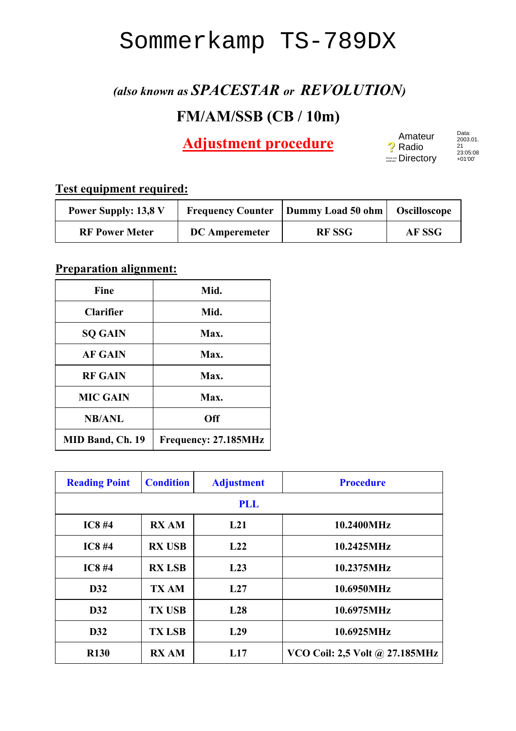## Sommerkamp TS-789DX

## *(also known as SPACESTAR or REVOLUTION)*

### **FM/AM/SSB (CB / 10m)**

**Adjustment procedure**

Amateur Radio Directory +01'00' Firma non verificata

Data: 2003.01. 21 21<br>23:05:08<br>+01'00'

#### **Test equipment required:**

| <b>Power Supply: 13,8 V</b> | <b>Frequency Counter</b> | Dummy Load 50 ohm   Oscilloscope |        |
|-----------------------------|--------------------------|----------------------------------|--------|
| <b>RF Power Meter</b>       | <b>DC</b> Amperemeter    | <b>RFSSG</b>                     | AF SSG |

#### **Preparation alignment:**

| Fine             | Mid.                 |
|------------------|----------------------|
| <b>Clarifier</b> | Mid.                 |
| <b>SO GAIN</b>   | Max.                 |
| <b>AF GAIN</b>   | Max.                 |
| <b>RF GAIN</b>   | Max.                 |
| <b>MIC GAIN</b>  | Max.                 |
| <b>NB/ANL</b>    | Off                  |
| MID Band, Ch. 19 | Frequency: 27.185MHz |

| <b>Reading Point</b> | <b>Condition</b> | <b>Adjustment</b> | <b>Procedure</b>               |  |
|----------------------|------------------|-------------------|--------------------------------|--|
| <b>PLL</b>           |                  |                   |                                |  |
| IC8#4                | <b>RX AM</b>     | L21               | 10.2400MHz                     |  |
| IC8#4                | <b>RX USB</b>    | L22               | 10.2425MHz                     |  |
| IC8#4                | <b>RX LSB</b>    | L23               | 10.2375MHz                     |  |
| D32                  | <b>TX AM</b>     | L27               | 10.6950MHz                     |  |
| D32                  | <b>TX USB</b>    | L28               | 10.6975MHz                     |  |
| D32                  | <b>TX LSB</b>    | L29               | 10.6925MHz                     |  |
| <b>R130</b>          | <b>RX AM</b>     | L17               | VCO Coil: 2,5 Volt @ 27.185MHz |  |